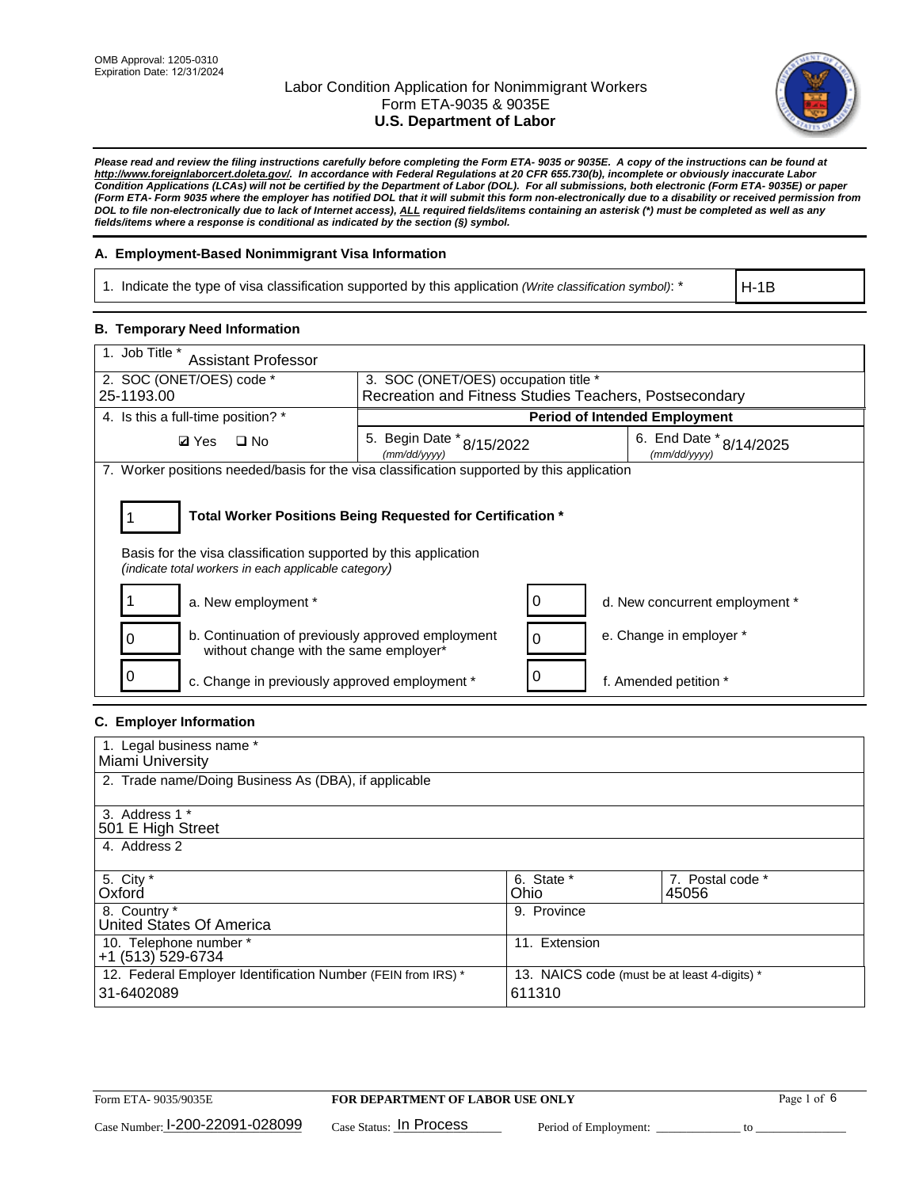

*Please read and review the filing instructions carefully before completing the Form ETA- 9035 or 9035E. A copy of the instructions can be found at [http://www.foreignlaborcert.doleta.gov/.](http://www.foreignlaborcert.doleta.gov/) In accordance with Federal Regulations at 20 CFR 655.730(b), incomplete or obviously inaccurate Labor Condition Applications (LCAs) will not be certified by the Department of Labor (DOL). For all submissions, both electronic (Form ETA- 9035E) or paper (Form ETA- Form 9035 where the employer has notified DOL that it will submit this form non-electronically due to a disability or received permission from DOL to file non-electronically due to lack of Internet access), ALL required fields/items containing an asterisk (\*) must be completed as well as any fields/items where a response is conditional as indicated by the section (§) symbol.* 

## **A. Employment-Based Nonimmigrant Visa Information**

1. Indicate the type of visa classification supported by this application *(Write classification symbol)*: \*

H-1B

#### **B. Temporary Need Information**

| 1. Job Title *<br><b>Assistant Professor</b>                                                                                                                                          |                                                        |   |                                         |  |
|---------------------------------------------------------------------------------------------------------------------------------------------------------------------------------------|--------------------------------------------------------|---|-----------------------------------------|--|
| 2. SOC (ONET/OES) code *                                                                                                                                                              | 3. SOC (ONET/OES) occupation title *                   |   |                                         |  |
| 25-1193.00                                                                                                                                                                            | Recreation and Fitness Studies Teachers, Postsecondary |   |                                         |  |
| 4. Is this a full-time position? *                                                                                                                                                    |                                                        |   | <b>Period of Intended Employment</b>    |  |
| $\Box$ No<br><b>Ø</b> Yes                                                                                                                                                             | 5. Begin Date * 8/15/2022<br>(mm/dd/yyyy)              |   | 6. End Date * 8/14/2025<br>(mm/dd/yyyy) |  |
| 7. Worker positions needed/basis for the visa classification supported by this application                                                                                            |                                                        |   |                                         |  |
| Total Worker Positions Being Requested for Certification *<br>Basis for the visa classification supported by this application<br>(indicate total workers in each applicable category) |                                                        |   |                                         |  |
| a. New employment *                                                                                                                                                                   |                                                        | O | d. New concurrent employment *          |  |
| b. Continuation of previously approved employment<br>without change with the same employer*                                                                                           |                                                        |   | e. Change in employer *                 |  |
| c. Change in previously approved employment *                                                                                                                                         |                                                        |   | f. Amended petition *                   |  |

## **C. Employer Information**

| 1. Legal business name *                                     |                                              |                  |  |
|--------------------------------------------------------------|----------------------------------------------|------------------|--|
| Miami University                                             |                                              |                  |  |
| 2. Trade name/Doing Business As (DBA), if applicable         |                                              |                  |  |
|                                                              |                                              |                  |  |
| 3. Address 1 *                                               |                                              |                  |  |
| 501 E High Street                                            |                                              |                  |  |
| 4. Address 2                                                 |                                              |                  |  |
|                                                              |                                              |                  |  |
| 5. City *                                                    | 6. State *                                   | 7. Postal code * |  |
| Oxford                                                       | Ohio                                         | 45056            |  |
| 8. Country *                                                 | 9. Province                                  |                  |  |
| United States Of America                                     |                                              |                  |  |
| 10. Telephone number *                                       | 11. Extension                                |                  |  |
| +1 (513) 529-6734                                            |                                              |                  |  |
| 12. Federal Employer Identification Number (FEIN from IRS) * | 13. NAICS code (must be at least 4-digits) * |                  |  |
| 31-6402089                                                   | 611310                                       |                  |  |
|                                                              |                                              |                  |  |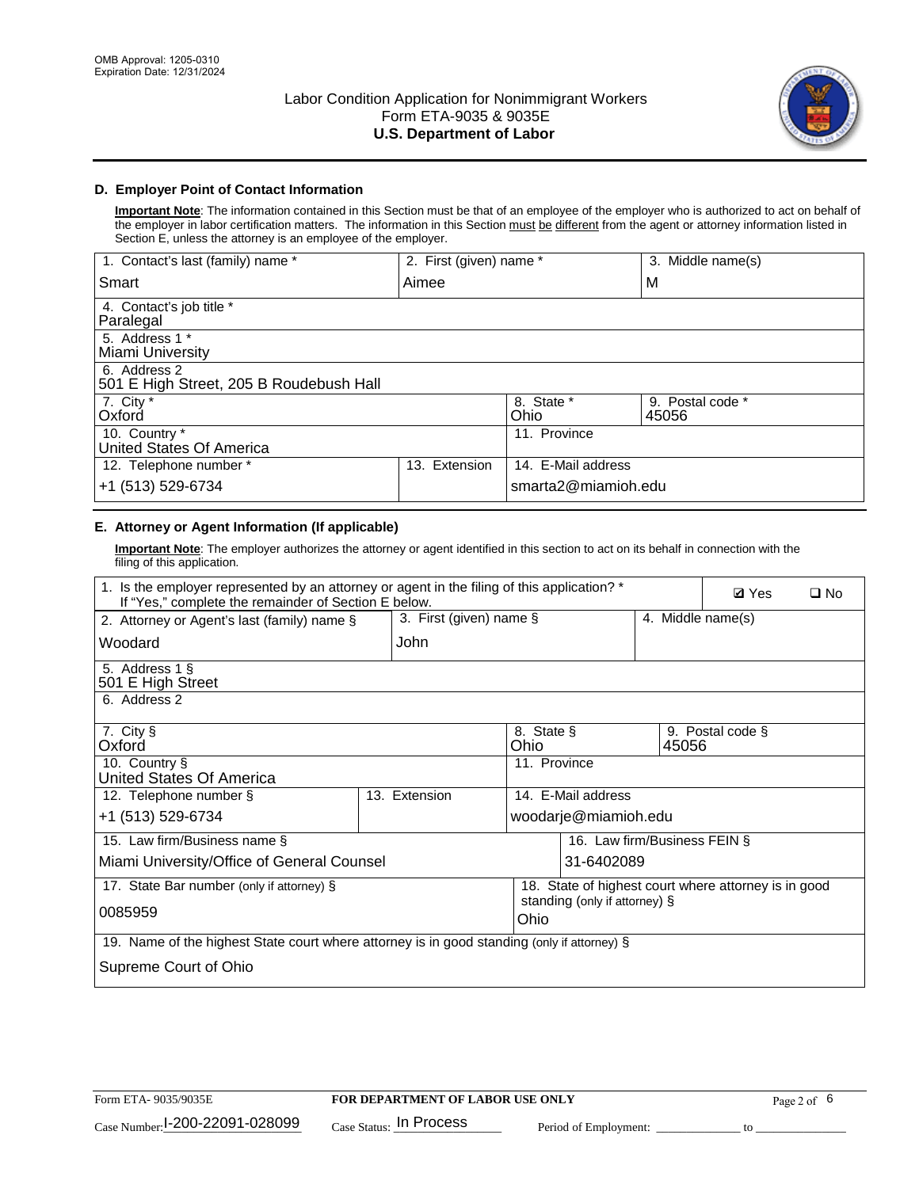

## **D. Employer Point of Contact Information**

**Important Note**: The information contained in this Section must be that of an employee of the employer who is authorized to act on behalf of the employer in labor certification matters. The information in this Section must be different from the agent or attorney information listed in Section E, unless the attorney is an employee of the employer.

| 1. Contact's last (family) name *                       | 2. First (given) name * |                     | 3. Middle name(s)         |
|---------------------------------------------------------|-------------------------|---------------------|---------------------------|
| Smart                                                   | Aimee                   |                     | M                         |
| 4. Contact's job title *<br>Paralegal                   |                         |                     |                           |
| 5. Address 1 *<br>Miami University                      |                         |                     |                           |
| 6. Address 2<br>501 E High Street, 205 B Roudebush Hall |                         |                     |                           |
| 7. City *<br>Oxford                                     |                         | 8. State *<br>Ohio  | 9. Postal code *<br>45056 |
| 10. Country *<br>United States Of America               |                         | 11. Province        |                           |
| 12. Telephone number *                                  | Extension<br>13.        | 14. E-Mail address  |                           |
| +1 (513) 529-6734                                       |                         | smarta2@miamioh.edu |                           |

# **E. Attorney or Agent Information (If applicable)**

**Important Note**: The employer authorizes the attorney or agent identified in this section to act on its behalf in connection with the filing of this application.

| 1. Is the employer represented by an attorney or agent in the filing of this application? *<br>If "Yes," complete the remainder of Section E below. | <b>Ø</b> Yes<br>$\square$ No |                    |                               |                                                      |
|-----------------------------------------------------------------------------------------------------------------------------------------------------|------------------------------|--------------------|-------------------------------|------------------------------------------------------|
| 2. Attorney or Agent's last (family) name §                                                                                                         | 3. First (given) name $\S$   |                    |                               | 4. Middle name(s)                                    |
| Woodard                                                                                                                                             | John                         |                    |                               |                                                      |
| 5. Address 1 §<br>501 E High Street                                                                                                                 |                              |                    |                               |                                                      |
| 6. Address 2                                                                                                                                        |                              |                    |                               |                                                      |
| 7. City §<br>Oxford                                                                                                                                 |                              | 8. State §<br>Ohio | 45056                         | 9. Postal code §                                     |
| 10. Country §<br>United States Of America                                                                                                           |                              | 11. Province       |                               |                                                      |
| 12. Telephone number §                                                                                                                              | 13. Extension                |                    | 14. E-Mail address            |                                                      |
| +1 (513) 529-6734                                                                                                                                   |                              |                    | woodarje@miamioh.edu          |                                                      |
| 15. Law firm/Business name §                                                                                                                        |                              |                    | 16. Law firm/Business FEIN §  |                                                      |
| Miami University/Office of General Counsel                                                                                                          |                              |                    | 31-6402089                    |                                                      |
| 17. State Bar number (only if attorney) §                                                                                                           |                              |                    |                               | 18. State of highest court where attorney is in good |
| 0085959                                                                                                                                             |                              | Ohio               | standing (only if attorney) § |                                                      |
| 19. Name of the highest State court where attorney is in good standing (only if attorney) §                                                         |                              |                    |                               |                                                      |
| Supreme Court of Ohio                                                                                                                               |                              |                    |                               |                                                      |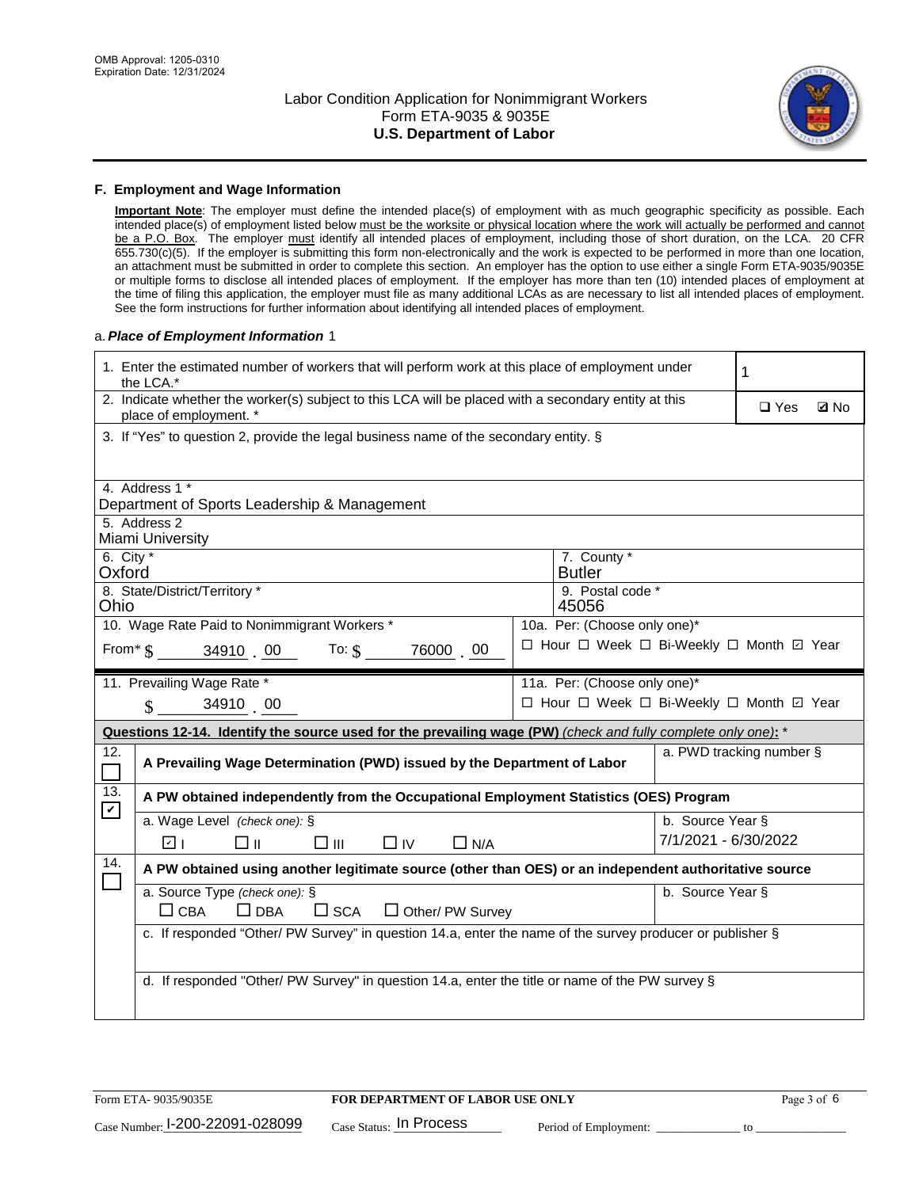

#### **F. Employment and Wage Information**

**Important Note**: The employer must define the intended place(s) of employment with as much geographic specificity as possible. Each intended place(s) of employment listed below must be the worksite or physical location where the work will actually be performed and cannot be a P.O. Box. The employer must identify all intended places of employment, including those of short duration, on the LCA. 20 CFR 655.730(c)(5). If the employer is submitting this form non-electronically and the work is expected to be performed in more than one location, an attachment must be submitted in order to complete this section. An employer has the option to use either a single Form ETA-9035/9035E or multiple forms to disclose all intended places of employment. If the employer has more than ten (10) intended places of employment at the time of filing this application, the employer must file as many additional LCAs as are necessary to list all intended places of employment. See the form instructions for further information about identifying all intended places of employment.

#### a.*Place of Employment Information* 1

| 1. Enter the estimated number of workers that will perform work at this place of employment under<br>the LCA.* |                                                                                                                                                           |  |                                          | 1                |                          |             |  |
|----------------------------------------------------------------------------------------------------------------|-----------------------------------------------------------------------------------------------------------------------------------------------------------|--|------------------------------------------|------------------|--------------------------|-------------|--|
|                                                                                                                | 2. Indicate whether the worker(s) subject to this LCA will be placed with a secondary entity at this<br>place of employment. *                            |  |                                          |                  | $\Box$ Yes               | <b>Ø</b> No |  |
|                                                                                                                | 3. If "Yes" to question 2, provide the legal business name of the secondary entity. §                                                                     |  |                                          |                  |                          |             |  |
|                                                                                                                | 4. Address 1 *                                                                                                                                            |  |                                          |                  |                          |             |  |
|                                                                                                                | Department of Sports Leadership & Management                                                                                                              |  |                                          |                  |                          |             |  |
|                                                                                                                | 5. Address 2<br>Miami University                                                                                                                          |  |                                          |                  |                          |             |  |
| 6. City $*$<br>Oxford                                                                                          |                                                                                                                                                           |  | 7. County *<br><b>Butler</b>             |                  |                          |             |  |
| Ohio                                                                                                           | 8. State/District/Territory *                                                                                                                             |  | 9. Postal code *<br>45056                |                  |                          |             |  |
|                                                                                                                | 10. Wage Rate Paid to Nonimmigrant Workers *                                                                                                              |  | 10a. Per: (Choose only one)*             |                  |                          |             |  |
|                                                                                                                | □ Hour □ Week □ Bi-Weekly □ Month ☑ Year<br>From $\frac{1}{2}$ $\frac{34910}{10}$ $\frac{00}{100}$ To: $\frac{1}{2}$ $\frac{76000}{100}$ $\frac{00}{100}$ |  |                                          |                  |                          |             |  |
|                                                                                                                | 11. Prevailing Wage Rate *                                                                                                                                |  | 11a. Per: (Choose only one)*             |                  |                          |             |  |
|                                                                                                                | $\sin 3491000$                                                                                                                                            |  | □ Hour □ Week □ Bi-Weekly □ Month □ Year |                  |                          |             |  |
|                                                                                                                | Questions 12-14. Identify the source used for the prevailing wage (PW) (check and fully complete only one): *                                             |  |                                          |                  |                          |             |  |
| 12.<br>$\Box$                                                                                                  | A Prevailing Wage Determination (PWD) issued by the Department of Labor                                                                                   |  |                                          |                  | a. PWD tracking number § |             |  |
| 13.<br>$\mathbf v$                                                                                             | A PW obtained independently from the Occupational Employment Statistics (OES) Program                                                                     |  |                                          |                  |                          |             |  |
|                                                                                                                | a. Wage Level (check one): §                                                                                                                              |  |                                          | b. Source Year § |                          |             |  |
|                                                                                                                |                                                                                                                                                           |  |                                          |                  |                          |             |  |
|                                                                                                                | □⊪<br>$\square$ $\square$<br>$\Box$ IV<br>$\Box$ N/A<br>☑ ⊧                                                                                               |  |                                          |                  | 7/1/2021 - 6/30/2022     |             |  |
| 14.                                                                                                            | A PW obtained using another legitimate source (other than OES) or an independent authoritative source                                                     |  |                                          |                  |                          |             |  |
|                                                                                                                | a. Source Type (check one): §                                                                                                                             |  |                                          | b. Source Year § |                          |             |  |
|                                                                                                                | $\Box$ CBA<br>$\Box$ DBA<br>$\square$ SCA<br>$\Box$ Other/ PW Survey                                                                                      |  |                                          |                  |                          |             |  |
|                                                                                                                | c. If responded "Other/ PW Survey" in question 14.a, enter the name of the survey producer or publisher §                                                 |  |                                          |                  |                          |             |  |
|                                                                                                                |                                                                                                                                                           |  |                                          |                  |                          |             |  |
|                                                                                                                | d. If responded "Other/ PW Survey" in question 14.a, enter the title or name of the PW survey §                                                           |  |                                          |                  |                          |             |  |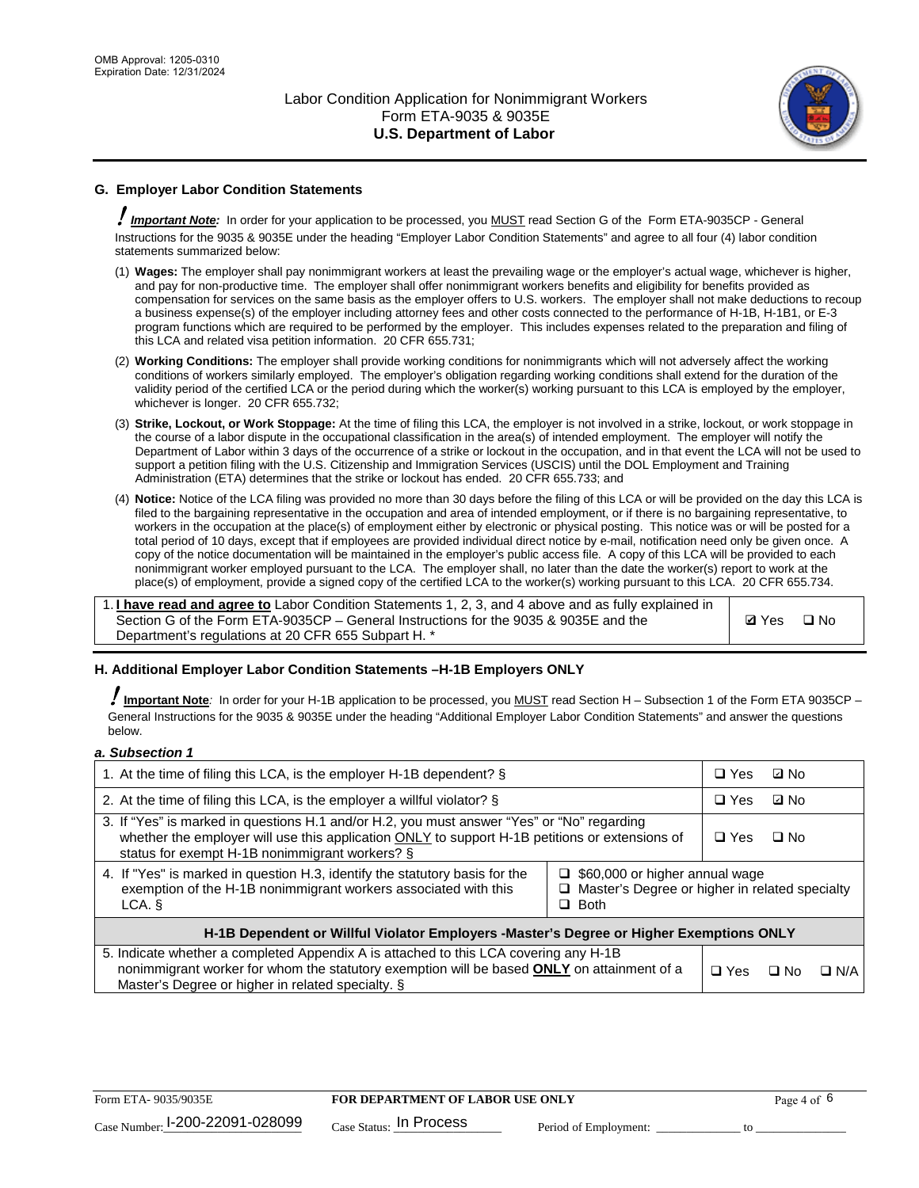

## **G. Employer Labor Condition Statements**

! *Important Note:* In order for your application to be processed, you MUST read Section G of the Form ETA-9035CP - General Instructions for the 9035 & 9035E under the heading "Employer Labor Condition Statements" and agree to all four (4) labor condition statements summarized below:

- (1) **Wages:** The employer shall pay nonimmigrant workers at least the prevailing wage or the employer's actual wage, whichever is higher, and pay for non-productive time. The employer shall offer nonimmigrant workers benefits and eligibility for benefits provided as compensation for services on the same basis as the employer offers to U.S. workers. The employer shall not make deductions to recoup a business expense(s) of the employer including attorney fees and other costs connected to the performance of H-1B, H-1B1, or E-3 program functions which are required to be performed by the employer. This includes expenses related to the preparation and filing of this LCA and related visa petition information. 20 CFR 655.731;
- (2) **Working Conditions:** The employer shall provide working conditions for nonimmigrants which will not adversely affect the working conditions of workers similarly employed. The employer's obligation regarding working conditions shall extend for the duration of the validity period of the certified LCA or the period during which the worker(s) working pursuant to this LCA is employed by the employer, whichever is longer. 20 CFR 655.732;
- (3) **Strike, Lockout, or Work Stoppage:** At the time of filing this LCA, the employer is not involved in a strike, lockout, or work stoppage in the course of a labor dispute in the occupational classification in the area(s) of intended employment. The employer will notify the Department of Labor within 3 days of the occurrence of a strike or lockout in the occupation, and in that event the LCA will not be used to support a petition filing with the U.S. Citizenship and Immigration Services (USCIS) until the DOL Employment and Training Administration (ETA) determines that the strike or lockout has ended. 20 CFR 655.733; and
- (4) **Notice:** Notice of the LCA filing was provided no more than 30 days before the filing of this LCA or will be provided on the day this LCA is filed to the bargaining representative in the occupation and area of intended employment, or if there is no bargaining representative, to workers in the occupation at the place(s) of employment either by electronic or physical posting. This notice was or will be posted for a total period of 10 days, except that if employees are provided individual direct notice by e-mail, notification need only be given once. A copy of the notice documentation will be maintained in the employer's public access file. A copy of this LCA will be provided to each nonimmigrant worker employed pursuant to the LCA. The employer shall, no later than the date the worker(s) report to work at the place(s) of employment, provide a signed copy of the certified LCA to the worker(s) working pursuant to this LCA. 20 CFR 655.734.

1. **I have read and agree to** Labor Condition Statements 1, 2, 3, and 4 above and as fully explained in Section G of the Form ETA-9035CP – General Instructions for the 9035 & 9035E and the Department's regulations at 20 CFR 655 Subpart H. \*

**Ø**Yes ロNo

#### **H. Additional Employer Labor Condition Statements –H-1B Employers ONLY**

!**Important Note***:* In order for your H-1B application to be processed, you MUST read Section H – Subsection 1 of the Form ETA 9035CP – General Instructions for the 9035 & 9035E under the heading "Additional Employer Labor Condition Statements" and answer the questions below.

#### *a. Subsection 1*

| 1. At the time of filing this LCA, is the employer H-1B dependent? §                                                                                                                                                                                                    |  |  | ⊡ No      |            |
|-------------------------------------------------------------------------------------------------------------------------------------------------------------------------------------------------------------------------------------------------------------------------|--|--|-----------|------------|
| 2. At the time of filing this LCA, is the employer a willful violator? $\S$                                                                                                                                                                                             |  |  | ⊡ No      |            |
| 3. If "Yes" is marked in questions H.1 and/or H.2, you must answer "Yes" or "No" regarding<br>whether the employer will use this application ONLY to support H-1B petitions or extensions of<br>status for exempt H-1B nonimmigrant workers? §                          |  |  | $\Box$ No |            |
| 4. If "Yes" is marked in question H.3, identify the statutory basis for the<br>$\Box$ \$60,000 or higher annual wage<br>exemption of the H-1B nonimmigrant workers associated with this<br>$\Box$ Master's Degree or higher in related specialty<br>$\Box$ Both<br>LCA. |  |  |           |            |
| H-1B Dependent or Willful Violator Employers -Master's Degree or Higher Exemptions ONLY                                                                                                                                                                                 |  |  |           |            |
| 5. Indicate whether a completed Appendix A is attached to this LCA covering any H-1B<br>nonimmigrant worker for whom the statutory exemption will be based <b>ONLY</b> on attainment of a<br>Master's Degree or higher in related specialty. §                          |  |  | ⊡ No      | $\Box$ N/A |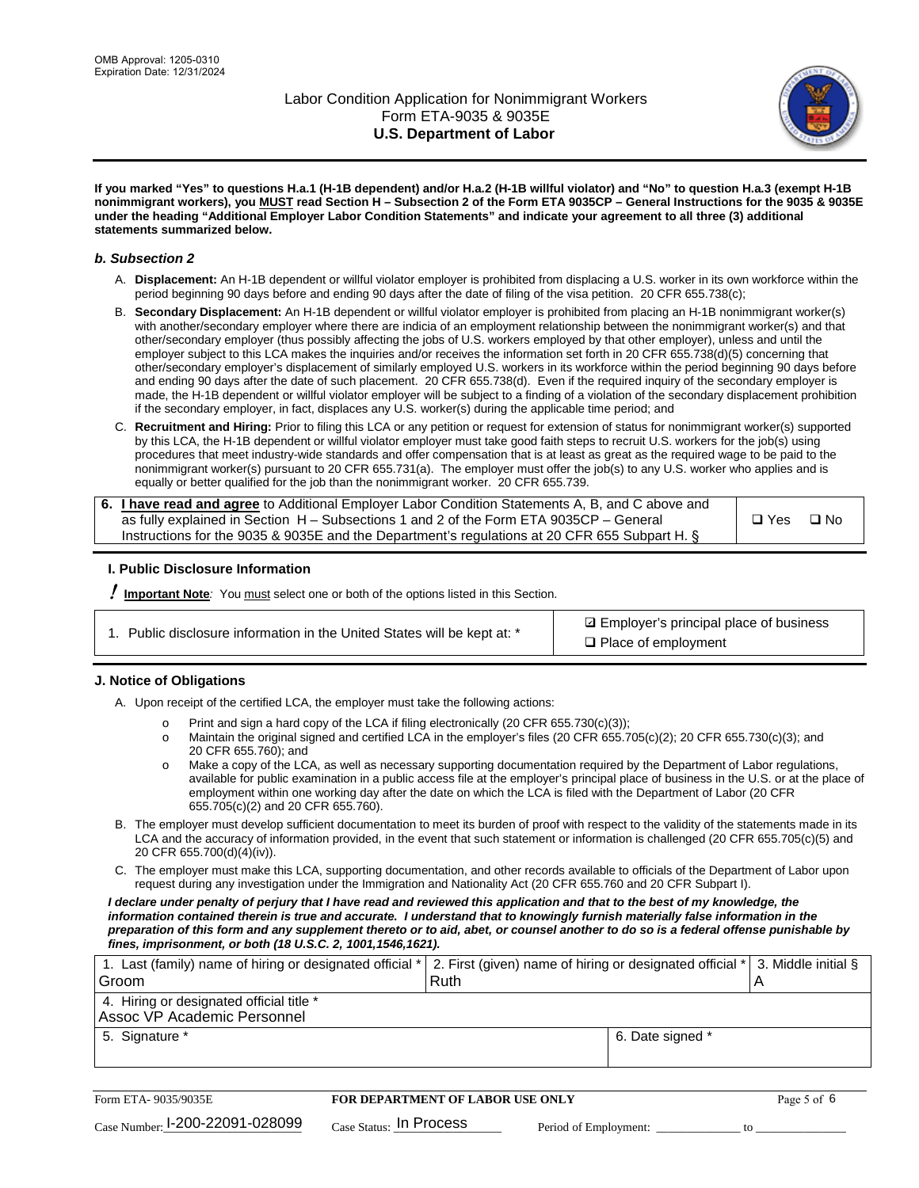

**If you marked "Yes" to questions H.a.1 (H-1B dependent) and/or H.a.2 (H-1B willful violator) and "No" to question H.a.3 (exempt H-1B nonimmigrant workers), you MUST read Section H – Subsection 2 of the Form ETA 9035CP – General Instructions for the 9035 & 9035E under the heading "Additional Employer Labor Condition Statements" and indicate your agreement to all three (3) additional statements summarized below.**

#### *b. Subsection 2*

- A. **Displacement:** An H-1B dependent or willful violator employer is prohibited from displacing a U.S. worker in its own workforce within the period beginning 90 days before and ending 90 days after the date of filing of the visa petition. 20 CFR 655.738(c);
- B. **Secondary Displacement:** An H-1B dependent or willful violator employer is prohibited from placing an H-1B nonimmigrant worker(s) with another/secondary employer where there are indicia of an employment relationship between the nonimmigrant worker(s) and that other/secondary employer (thus possibly affecting the jobs of U.S. workers employed by that other employer), unless and until the employer subject to this LCA makes the inquiries and/or receives the information set forth in 20 CFR 655.738(d)(5) concerning that other/secondary employer's displacement of similarly employed U.S. workers in its workforce within the period beginning 90 days before and ending 90 days after the date of such placement. 20 CFR 655.738(d). Even if the required inquiry of the secondary employer is made, the H-1B dependent or willful violator employer will be subject to a finding of a violation of the secondary displacement prohibition if the secondary employer, in fact, displaces any U.S. worker(s) during the applicable time period; and
- C. **Recruitment and Hiring:** Prior to filing this LCA or any petition or request for extension of status for nonimmigrant worker(s) supported by this LCA, the H-1B dependent or willful violator employer must take good faith steps to recruit U.S. workers for the job(s) using procedures that meet industry-wide standards and offer compensation that is at least as great as the required wage to be paid to the nonimmigrant worker(s) pursuant to 20 CFR 655.731(a). The employer must offer the job(s) to any U.S. worker who applies and is equally or better qualified for the job than the nonimmigrant worker. 20 CFR 655.739.

| 6. I have read and agree to Additional Employer Labor Condition Statements A, B, and C above and |       |           |
|--------------------------------------------------------------------------------------------------|-------|-----------|
| as fully explained in Section H – Subsections 1 and 2 of the Form ETA 9035CP – General           | □ Yes | $\Box$ No |
| Instructions for the 9035 & 9035 E and the Department's regulations at 20 CFR 655 Subpart H. §   |       |           |

#### **I. Public Disclosure Information**

! **Important Note***:* You must select one or both of the options listed in this Section.

**sqrt** Employer's principal place of business □ Place of employment

#### **J. Notice of Obligations**

A. Upon receipt of the certified LCA, the employer must take the following actions:

- o Print and sign a hard copy of the LCA if filing electronically (20 CFR 655.730(c)(3));<br>
Maintain the original signed and certified LCA in the employer's files (20 CFR 655.7
- Maintain the original signed and certified LCA in the employer's files (20 CFR 655.705(c)(2); 20 CFR 655.730(c)(3); and 20 CFR 655.760); and
- o Make a copy of the LCA, as well as necessary supporting documentation required by the Department of Labor regulations, available for public examination in a public access file at the employer's principal place of business in the U.S. or at the place of employment within one working day after the date on which the LCA is filed with the Department of Labor (20 CFR 655.705(c)(2) and 20 CFR 655.760).
- B. The employer must develop sufficient documentation to meet its burden of proof with respect to the validity of the statements made in its LCA and the accuracy of information provided, in the event that such statement or information is challenged (20 CFR 655.705(c)(5) and 20 CFR 655.700(d)(4)(iv)).
- C. The employer must make this LCA, supporting documentation, and other records available to officials of the Department of Labor upon request during any investigation under the Immigration and Nationality Act (20 CFR 655.760 and 20 CFR Subpart I).

*I declare under penalty of perjury that I have read and reviewed this application and that to the best of my knowledge, the*  information contained therein is true and accurate. I understand that to knowingly furnish materially false information in the *preparation of this form and any supplement thereto or to aid, abet, or counsel another to do so is a federal offense punishable by fines, imprisonment, or both (18 U.S.C. 2, 1001,1546,1621).*

| 1. Last (family) name of hiring or designated official * 2. First (given) name of hiring or designated official * 3. Middle initial § |  |
|---------------------------------------------------------------------------------------------------------------------------------------|--|
| Ruth                                                                                                                                  |  |
|                                                                                                                                       |  |
| 6. Date signed *                                                                                                                      |  |
|                                                                                                                                       |  |